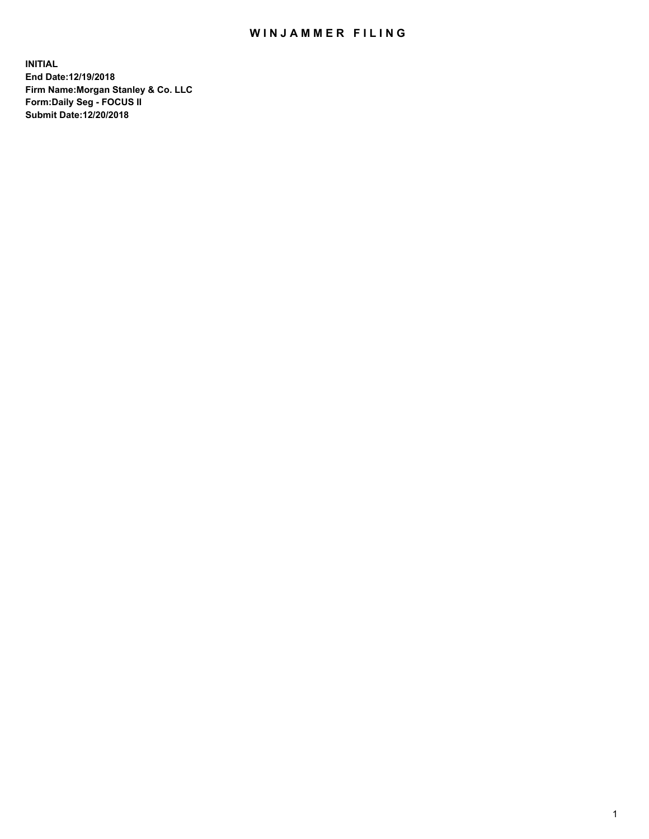## WIN JAMMER FILING

**INITIAL End Date:12/19/2018 Firm Name:Morgan Stanley & Co. LLC Form:Daily Seg - FOCUS II Submit Date:12/20/2018**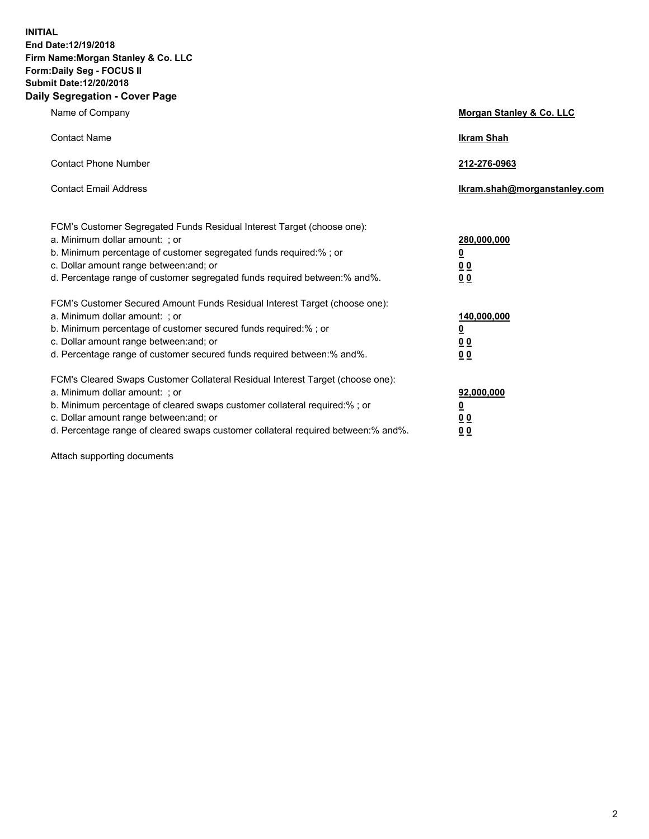**INITIAL End Date:12/19/2018 Firm Name:Morgan Stanley & Co. LLC Form:Daily Seg - FOCUS II Submit Date:12/20/2018 Daily Segregation - Cover Page**

| Name of Company                                                                                                                                                                                                                                                                                                                | Morgan Stanley & Co. LLC                               |
|--------------------------------------------------------------------------------------------------------------------------------------------------------------------------------------------------------------------------------------------------------------------------------------------------------------------------------|--------------------------------------------------------|
| <b>Contact Name</b>                                                                                                                                                                                                                                                                                                            | <b>Ikram Shah</b>                                      |
| <b>Contact Phone Number</b>                                                                                                                                                                                                                                                                                                    | 212-276-0963                                           |
| <b>Contact Email Address</b>                                                                                                                                                                                                                                                                                                   | Ikram.shah@morganstanley.com                           |
| FCM's Customer Segregated Funds Residual Interest Target (choose one):<br>a. Minimum dollar amount: : or<br>b. Minimum percentage of customer segregated funds required:% ; or<br>c. Dollar amount range between: and; or<br>d. Percentage range of customer segregated funds required between:% and%.                         | 280,000,000<br><u>0</u><br>0 <sub>0</sub><br><u>00</u> |
| FCM's Customer Secured Amount Funds Residual Interest Target (choose one):<br>a. Minimum dollar amount: ; or<br>b. Minimum percentage of customer secured funds required:% ; or<br>c. Dollar amount range between: and; or<br>d. Percentage range of customer secured funds required between:% and%.                           | 140,000,000<br><u>0</u><br><u>00</u><br>0 <sub>0</sub> |
| FCM's Cleared Swaps Customer Collateral Residual Interest Target (choose one):<br>a. Minimum dollar amount: ; or<br>b. Minimum percentage of cleared swaps customer collateral required:% ; or<br>c. Dollar amount range between: and; or<br>d. Percentage range of cleared swaps customer collateral required between:% and%. | 92,000,000<br><u>0</u><br><u>00</u><br>0 <sub>0</sub>  |

Attach supporting documents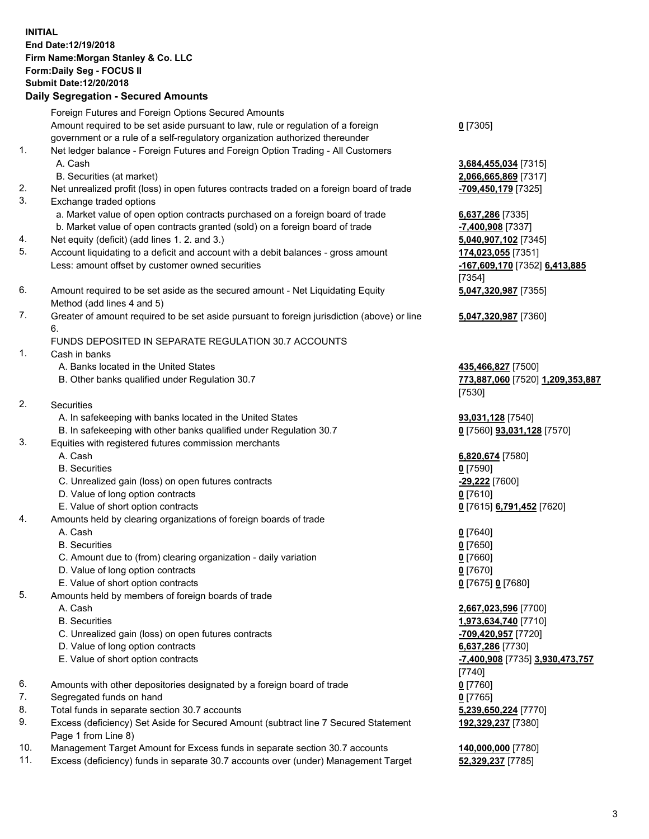## **INITIAL End Date:12/19/2018 Firm Name:Morgan Stanley & Co. LLC Form:Daily Seg - FOCUS II Submit Date:12/20/2018**

## **Daily Segregation - Secured Amounts**

Foreign Futures and Foreign Options Secured Amounts Amount required to be set aside pursuant to law, rule or regulation of a foreign government or a rule of a self-regulatory organization authorized thereunder

- 1. Net ledger balance Foreign Futures and Foreign Option Trading All Customers A. Cash **3,684,455,034** [7315]
	- B. Securities (at market) **2,066,665,869** [7317]
- 2. Net unrealized profit (loss) in open futures contracts traded on a foreign board of trade **-709,450,179** [7325]
- 3. Exchange traded options
	- a. Market value of open option contracts purchased on a foreign board of trade **6,637,286** [7335]
	- b. Market value of open contracts granted (sold) on a foreign board of trade **-7,400,908** [7337]
- 4. Net equity (deficit) (add lines 1. 2. and 3.) **5,040,907,102** [7345]
- 5. Account liquidating to a deficit and account with a debit balances gross amount **174,023,055** [7351] Less: amount offset by customer owned securities **-167,609,170** [7352] **6,413,885**
- 6. Amount required to be set aside as the secured amount Net Liquidating Equity Method (add lines 4 and 5)
- 7. Greater of amount required to be set aside pursuant to foreign jurisdiction (above) or line 6.

## FUNDS DEPOSITED IN SEPARATE REGULATION 30.7 ACCOUNTS

- 1. Cash in banks
	- A. Banks located in the United States **435,466,827** [7500]
	- B. Other banks qualified under Regulation 30.7 **773,887,060** [7520] **1,209,353,887**
- 2. Securities
	- A. In safekeeping with banks located in the United States **93,031,128** [7540]
	- B. In safekeeping with other banks qualified under Regulation 30.7 **0** [7560] **93,031,128** [7570]
- 3. Equities with registered futures commission merchants
	-
	- B. Securities **0** [7590]
	- C. Unrealized gain (loss) on open futures contracts **-29,222** [7600]
	- D. Value of long option contracts **0** [7610]
- E. Value of short option contracts **0** [7615] **6,791,452** [7620]
- 4. Amounts held by clearing organizations of foreign boards of trade
	- A. Cash **0** [7640]
	- B. Securities **0** [7650]
	- C. Amount due to (from) clearing organization daily variation **0** [7660]
	- D. Value of long option contracts **0** [7670]
	- E. Value of short option contracts **0** [7675] **0** [7680]
- 5. Amounts held by members of foreign boards of trade
	-
	-
	- C. Unrealized gain (loss) on open futures contracts **-709,420,957** [7720]
	- D. Value of long option contracts **6,637,286** [7730]
	- E. Value of short option contracts **-7,400,908** [7735] **3,930,473,757**
- 6. Amounts with other depositories designated by a foreign board of trade **0** [7760]
- 7. Segregated funds on hand **0** [7765]
- 8. Total funds in separate section 30.7 accounts **5,239,650,224** [7770]
- 9. Excess (deficiency) Set Aside for Secured Amount (subtract line 7 Secured Statement Page 1 from Line 8)
- 10. Management Target Amount for Excess funds in separate section 30.7 accounts **140,000,000** [7780]
- 11. Excess (deficiency) funds in separate 30.7 accounts over (under) Management Target **52,329,237** [7785]

**0** [7305]

[7354] **5,047,320,987** [7355]

**5,047,320,987** [7360]

[7530]

A. Cash **6,820,674** [7580]

 A. Cash **2,667,023,596** [7700] B. Securities **1,973,634,740** [7710] [7740] **192,329,237** [7380]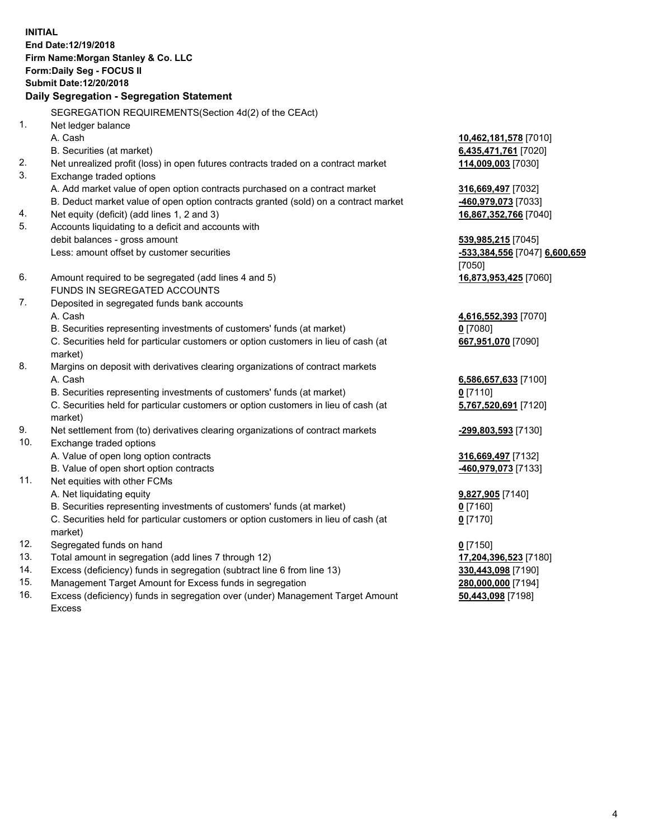**INITIAL End Date:12/19/2018 Firm Name:Morgan Stanley & Co. LLC Form:Daily Seg - FOCUS II Submit Date:12/20/2018 Daily Segregation - Segregation Statement** SEGREGATION REQUIREMENTS(Section 4d(2) of the CEAct) 1. Net ledger balance A. Cash **10,462,181,578** [7010] B. Securities (at market) **6,435,471,761** [7020] 2. Net unrealized profit (loss) in open futures contracts traded on a contract market **114,009,003** [7030] 3. Exchange traded options A. Add market value of open option contracts purchased on a contract market **316,669,497** [7032] B. Deduct market value of open option contracts granted (sold) on a contract market **-460,979,073** [7033] 4. Net equity (deficit) (add lines 1, 2 and 3) **16,867,352,766** [7040] 5. Accounts liquidating to a deficit and accounts with debit balances - gross amount **539,985,215** [7045] Less: amount offset by customer securities **-533,384,556** [7047] **6,600,659** [7050] 6. Amount required to be segregated (add lines 4 and 5) **16,873,953,425** [7060] FUNDS IN SEGREGATED ACCOUNTS 7. Deposited in segregated funds bank accounts A. Cash **4,616,552,393** [7070] B. Securities representing investments of customers' funds (at market) **0** [7080] C. Securities held for particular customers or option customers in lieu of cash (at market) **667,951,070** [7090] 8. Margins on deposit with derivatives clearing organizations of contract markets A. Cash **6,586,657,633** [7100] B. Securities representing investments of customers' funds (at market) **0** [7110] C. Securities held for particular customers or option customers in lieu of cash (at market) **5,767,520,691** [7120] 9. Net settlement from (to) derivatives clearing organizations of contract markets **-299,803,593** [7130] 10. Exchange traded options A. Value of open long option contracts **316,669,497** [7132] B. Value of open short option contracts **-460,979,073** [7133] 11. Net equities with other FCMs A. Net liquidating equity **9,827,905** [7140] B. Securities representing investments of customers' funds (at market) **0** [7160] C. Securities held for particular customers or option customers in lieu of cash (at market) **0** [7170] 12. Segregated funds on hand **0** [7150] 13. Total amount in segregation (add lines 7 through 12) **17,204,396,523** [7180] 14. Excess (deficiency) funds in segregation (subtract line 6 from line 13) **330,443,098** [7190]

- 15. Management Target Amount for Excess funds in segregation **280,000,000** [7194]
- 16. Excess (deficiency) funds in segregation over (under) Management Target Amount Excess

**50,443,098** [7198]